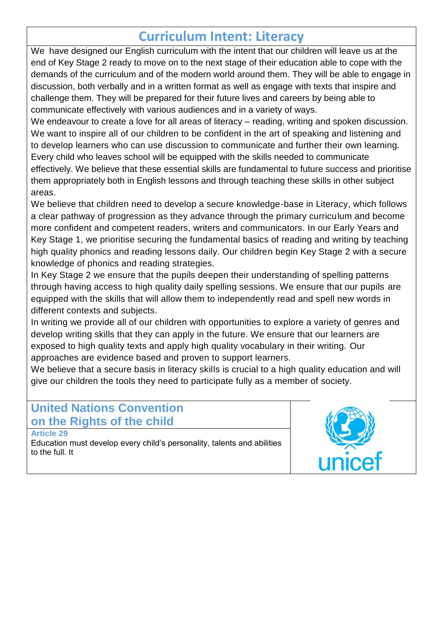# **Curriculum Intent: Literacy**

We have designed our English curriculum with the intent that our children will leave us at the end of Key Stage 2 ready to move on to the next stage of their education able to cope with the demands of the curriculum and of the modern world around them. They will be able to engage in discussion, both verbally and in a written format as well as engage with texts that inspire and challenge them. They will be prepared for their future lives and careers by being able to communicate effectively with various audiences and in a variety of ways.

We endeavour to create a love for all areas of literacy – reading, writing and spoken discussion. We want to inspire all of our children to be confident in the art of speaking and listening and to develop learners who can use discussion to communicate and further their own learning. Every child who leaves school will be equipped with the skills needed to communicate effectively. We believe that these essential skills are fundamental to future success and prioritise them appropriately both in English lessons and through teaching these skills in other subject areas.

We believe that children need to develop a secure knowledge-base in Literacy, which follows a clear pathway of progression as they advance through the primary curriculum and become more confident and competent readers, writers and communicators. In our Early Years and Key Stage 1, we prioritise securing the fundamental basics of reading and writing by teaching high quality phonics and reading lessons daily. Our children begin Key Stage 2 with a secure knowledge of phonics and reading strategies.

In Key Stage 2 we ensure that the pupils deepen their understanding of spelling patterns through having access to high quality daily spelling sessions. We ensure that our pupils are equipped with the skills that will allow them to independently read and spell new words in different contexts and subjects.

In writing we provide all of our children with opportunities to explore a variety of genres and develop writing skills that they can apply in the future. We ensure that our learners are exposed to high quality texts and apply high quality vocabulary in their writing. Our approaches are evidence based and proven to support learners.

We believe that a secure basis in literacy skills is crucial to a high quality education and will give our children the tools they need to participate fully as a member of society.

### **United Nations Convention on the Rights of the child**

**Article 29** 

Education must develop every child's personality, talents and abilities to the full. It

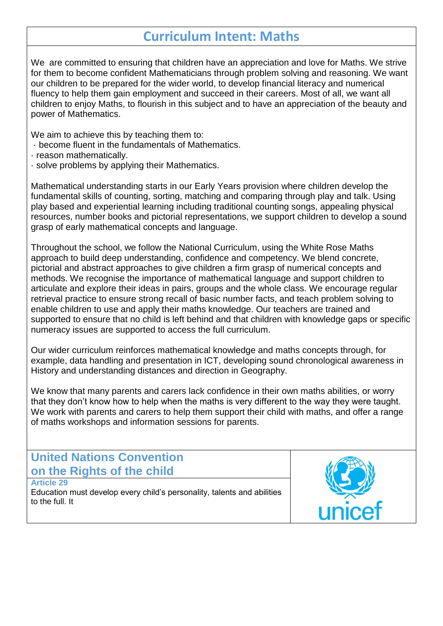## **Curriculum Intent: Maths**

We are committed to ensuring that children have an appreciation and love for Maths. We strive for them to become confident Mathematicians through problem solving and reasoning. We want our children to be prepared for the wider world, to develop financial literacy and numerical fluency to help them gain employment and succeed in their careers. Most of all, we want all children to enjoy Maths, to flourish in this subject and to have an appreciation of the beauty and power of Mathematics.

We aim to achieve this by teaching them to:

- · become fluent in the fundamentals of Mathematics.
- · reason mathematically.
- · solve problems by applying their Mathematics.

Mathematical understanding starts in our Early Years provision where children develop the fundamental skills of counting, sorting, matching and comparing through play and talk. Using play based and experiential learning including traditional counting songs, appealing physical resources, number books and pictorial representations, we support children to develop a sound grasp of early mathematical concepts and language.

Throughout the school, we follow the National Curriculum, using the White Rose Maths approach to build deep understanding, confidence and competency. We blend concrete, pictorial and abstract approaches to give children a firm grasp of numerical concepts and methods. We recognise the importance of mathematical language and support children to articulate and explore their ideas in pairs, groups and the whole class. We encourage regular retrieval practice to ensure strong recall of basic number facts, and teach problem solving to enable children to use and apply their maths knowledge. Our teachers are trained and supported to ensure that no child is left behind and that children with knowledge gaps or specific numeracy issues are supported to access the full curriculum.

Our wider curriculum reinforces mathematical knowledge and maths concepts through, for example, data handling and presentation in ICT, developing sound chronological awareness in History and understanding distances and direction in Geography.

We know that many parents and carers lack confidence in their own maths abilities, or worry that they don't know how to help when the maths is very different to the way they were taught. We work with parents and carers to help them support their child with maths, and offer a range of maths workshops and information sessions for parents.

#### **United Nations Convention on the Rights of the child Article 29**

Education must develop every child's personality, talents and abilities to the full. It

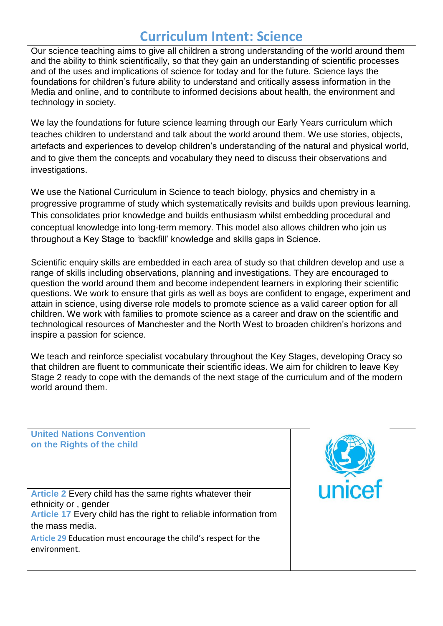## **Curriculum Intent: Science**

Our science teaching aims to give all children a strong understanding of the world around them and the ability to think scientifically, so that they gain an understanding of scientific processes and of the uses and implications of science for today and for the future. Science lays the foundations for children's future ability to understand and critically assess information in the Media and online, and to contribute to informed decisions about health, the environment and technology in society.

We lay the foundations for future science learning through our Early Years curriculum which teaches children to understand and talk about the world around them. We use stories, objects, artefacts and experiences to develop children's understanding of the natural and physical world, and to give them the concepts and vocabulary they need to discuss their observations and investigations.

We use the National Curriculum in Science to teach biology, physics and chemistry in a progressive programme of study which systematically revisits and builds upon previous learning. This consolidates prior knowledge and builds enthusiasm whilst embedding procedural and conceptual knowledge into long-term memory. This model also allows children who join us throughout a Key Stage to 'backfill' knowledge and skills gaps in Science.

Scientific enquiry skills are embedded in each area of study so that children develop and use a range of skills including observations, planning and investigations. They are encouraged to question the world around them and become independent learners in exploring their scientific questions. We work to ensure that girls as well as boys are confident to engage, experiment and attain in science, using diverse role models to promote science as a valid career option for all children. We work with families to promote science as a career and draw on the scientific and technological resources of Manchester and the North West to broaden children's horizons and inspire a passion for science.

We teach and reinforce specialist vocabulary throughout the Key Stages, developing Oracy so that children are fluent to communicate their scientific ideas. We aim for children to leave Key Stage 2 ready to cope with the demands of the next stage of the curriculum and of the modern world around them.

**United Nations Convention on the Rights of the child**



**Article 2** Every child has the same rights whatever their ethnicity or , gender **Article 17** Every child has the right to reliable information from the mass media.

**Article 29** Education must encourage the child's respect for the environment.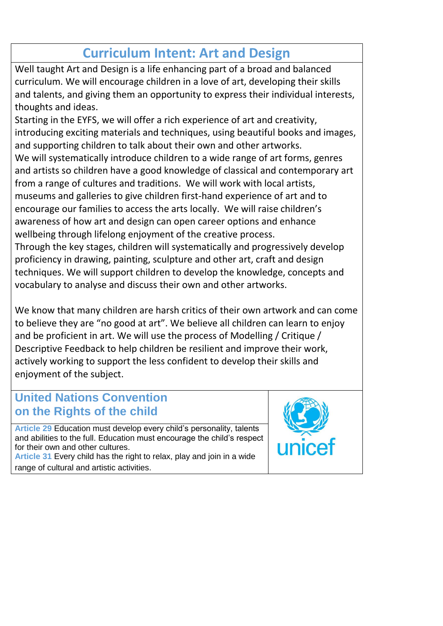# **Curriculum Intent: Art and Design**

Well taught Art and Design is a life enhancing part of a broad and balanced curriculum. We will encourage children in a love of art, developing their skills and talents, and giving them an opportunity to express their individual interests, thoughts and ideas.

Starting in the EYFS, we will offer a rich experience of art and creativity, introducing exciting materials and techniques, using beautiful books and images, and supporting children to talk about their own and other artworks. We will systematically introduce children to a wide range of art forms, genres and artists so children have a good knowledge of classical and contemporary art from a range of cultures and traditions. We will work with local artists, museums and galleries to give children first-hand experience of art and to encourage our families to access the arts locally. We will raise children's awareness of how art and design can open career options and enhance wellbeing through lifelong enjoyment of the creative process.

Through the key stages, children will systematically and progressively develop proficiency in drawing, painting, sculpture and other art, craft and design techniques. We will support children to develop the knowledge, concepts and vocabulary to analyse and discuss their own and other artworks.

We know that many children are harsh critics of their own artwork and can come to believe they are "no good at art". We believe all children can learn to enjoy and be proficient in art. We will use the process of Modelling / Critique / Descriptive Feedback to help children be resilient and improve their work, actively working to support the less confident to develop their skills and enjoyment of the subject.

### **United Nations Convention on the Rights of the child**

**Article 29** Education must develop every child's personality, talents and abilities to the full. Education must encourage the child's respect for their own and other cultures.

**Article 31** Every child has the right to relax, play and join in a wide range of cultural and artistic activities.

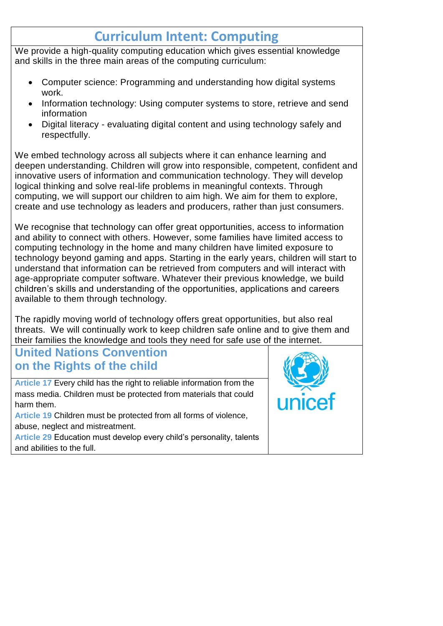# **Curriculum Intent: Computing**

We provide a high-quality computing education which gives essential knowledge and skills in the three main areas of the computing curriculum:

- Computer science: Programming and understanding how digital systems work.
- Information technology: Using computer systems to store, retrieve and send information
- Digital literacy evaluating digital content and using technology safely and respectfully.

We embed technology across all subjects where it can enhance learning and deepen understanding. Children will grow into responsible, competent, confident and innovative users of information and communication technology. They will develop logical thinking and solve real-life problems in meaningful contexts. Through computing, we will support our children to aim high. We aim for them to explore, create and use technology as leaders and producers, rather than just consumers.

We recognise that technology can offer great opportunities, access to information and ability to connect with others. However, some families have limited access to computing technology in the home and many children have limited exposure to technology beyond gaming and apps. Starting in the early years, children will start to understand that information can be retrieved from computers and will interact with age-appropriate computer software. Whatever their previous knowledge, we build children's skills and understanding of the opportunities, applications and careers available to them through technology.

The rapidly moving world of technology offers great opportunities, but also real threats. We will continually work to keep children safe online and to give them and their families the knowledge and tools they need for safe use of the internet.

## **United Nations Convention on the Rights of the child**

**Article 17** Every child has the right to reliable information from the mass media. Children must be protected from materials that could harm them.

**Article 19** Children must be protected from all forms of violence, abuse, neglect and mistreatment.

**Article 29** Education must develop every child's personality, talents and abilities to the full.

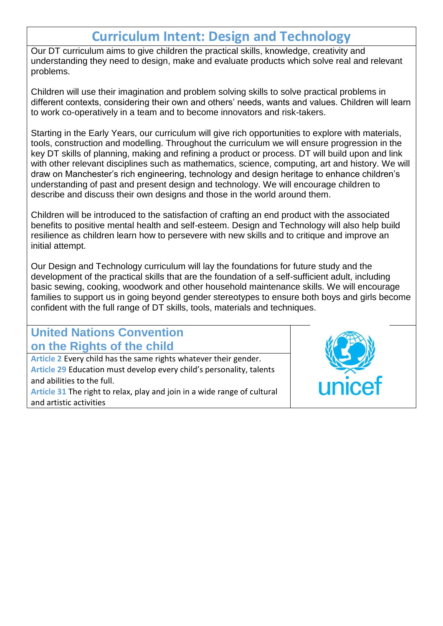# **Curriculum Intent: Design and Technology**

Our DT curriculum aims to give children the practical skills, knowledge, creativity and understanding they need to design, make and evaluate products which solve real and relevant problems.

Children will use their imagination and problem solving skills to solve practical problems in different contexts, considering their own and others' needs, wants and values. Children will learn to work co-operatively in a team and to become innovators and risk-takers.

Starting in the Early Years, our curriculum will give rich opportunities to explore with materials, tools, construction and modelling. Throughout the curriculum we will ensure progression in the key DT skills of planning, making and refining a product or process. DT will build upon and link with other relevant disciplines such as mathematics, science, computing, art and history. We will draw on Manchester's rich engineering, technology and design heritage to enhance children's understanding of past and present design and technology. We will encourage children to describe and discuss their own designs and those in the world around them.

Children will be introduced to the satisfaction of crafting an end product with the associated benefits to positive mental health and self-esteem. Design and Technology will also help build resilience as children learn how to persevere with new skills and to critique and improve an initial attempt.

Our Design and Technology curriculum will lay the foundations for future study and the development of the practical skills that are the foundation of a self-sufficient adult, including basic sewing, cooking, woodwork and other household maintenance skills. We will encourage families to support us in going beyond gender stereotypes to ensure both boys and girls become confident with the full range of DT skills, tools, materials and techniques.

### **United Nations Convention on the Rights of the child**

**Article 2** Every child has the same rights whatever their gender. **Article 29** Education must develop every child's personality, talents and abilities to the full.

**Article 31** The right to relax, play and join in a wide range of cultural and artistic activities

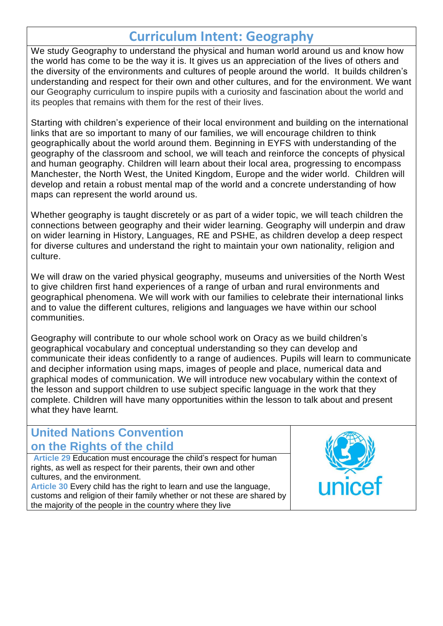## **Curriculum Intent: Geography**

We study Geography to understand the physical and human world around us and know how the world has come to be the way it is. It gives us an appreciation of the lives of others and the diversity of the environments and cultures of people around the world. It builds children's understanding and respect for their own and other cultures, and for the environment. We want our Geography curriculum to inspire pupils with a curiosity and fascination about the world and its peoples that remains with them for the rest of their lives.

Starting with children's experience of their local environment and building on the international links that are so important to many of our families, we will encourage children to think geographically about the world around them. Beginning in EYFS with understanding of the geography of the classroom and school, we will teach and reinforce the concepts of physical and human geography. Children will learn about their local area, progressing to encompass Manchester, the North West, the United Kingdom, Europe and the wider world. Children will develop and retain a robust mental map of the world and a concrete understanding of how maps can represent the world around us.

Whether geography is taught discretely or as part of a wider topic, we will teach children the connections between geography and their wider learning. Geography will underpin and draw on wider learning in History, Languages, RE and PSHE, as children develop a deep respect for diverse cultures and understand the right to maintain your own nationality, religion and culture.

We will draw on the varied physical geography, museums and universities of the North West to give children first hand experiences of a range of urban and rural environments and geographical phenomena. We will work with our families to celebrate their international links and to value the different cultures, religions and languages we have within our school communities.

Geography will contribute to our whole school work on Oracy as we build children's geographical vocabulary and conceptual understanding so they can develop and communicate their ideas confidently to a range of audiences. Pupils will learn to communicate and decipher information using maps, images of people and place, numerical data and graphical modes of communication. We will introduce new vocabulary within the context of the lesson and support children to use subject specific language in the work that they complete. Children will have many opportunities within the lesson to talk about and present what they have learnt.

### **United Nations Convention on the Rights of the child**

**Article 29** Education must encourage the child's respect for human rights, as well as respect for their parents, their own and other cultures, and the environment. **Article 30** Every child has the right to learn and use the language,

customs and religion of their family whether or not these are shared by the majority of the people in the country where they live

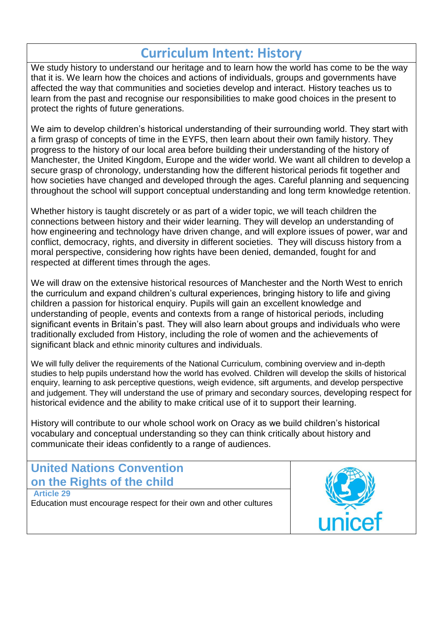# **Curriculum Intent: History**

We study history to understand our heritage and to learn how the world has come to be the way that it is. We learn how the choices and actions of individuals, groups and governments have affected the way that communities and societies develop and interact. History teaches us to learn from the past and recognise our responsibilities to make good choices in the present to protect the rights of future generations.

We aim to develop children's historical understanding of their surrounding world. They start with a firm grasp of concepts of time in the EYFS, then learn about their own family history. They progress to the history of our local area before building their understanding of the history of Manchester, the United Kingdom, Europe and the wider world. We want all children to develop a secure grasp of chronology, understanding how the different historical periods fit together and how societies have changed and developed through the ages. Careful planning and sequencing throughout the school will support conceptual understanding and long term knowledge retention.

Whether history is taught discretely or as part of a wider topic, we will teach children the connections between history and their wider learning. They will develop an understanding of how engineering and technology have driven change, and will explore issues of power, war and conflict, democracy, rights, and diversity in different societies. They will discuss history from a moral perspective, considering how rights have been denied, demanded, fought for and respected at different times through the ages.

We will draw on the extensive historical resources of Manchester and the North West to enrich the curriculum and expand children's cultural experiences, bringing history to life and giving children a passion for historical enquiry. Pupils will gain an excellent knowledge and understanding of people, events and contexts from a range of historical periods, including significant events in Britain's past. They will also learn about groups and individuals who were traditionally excluded from History, including the role of women and the achievements of significant black and ethnic minority cultures and individuals.

We will fully deliver the requirements of the National Curriculum, combining overview and in-depth studies to help pupils understand how the world has evolved. Children will develop the skills of historical enquiry, learning to ask perceptive questions, weigh evidence, sift arguments, and develop perspective and judgement. They will understand the use of primary and secondary sources, developing respect for historical evidence and the ability to make critical use of it to support their learning.

History will contribute to our whole school work on Oracy as we build children's historical vocabulary and conceptual understanding so they can think critically about history and communicate their ideas confidently to a range of audiences.

### **United Nations Convention on the Rights of the child**

**Article 29** 

Education must encourage respect for their own and other cultures

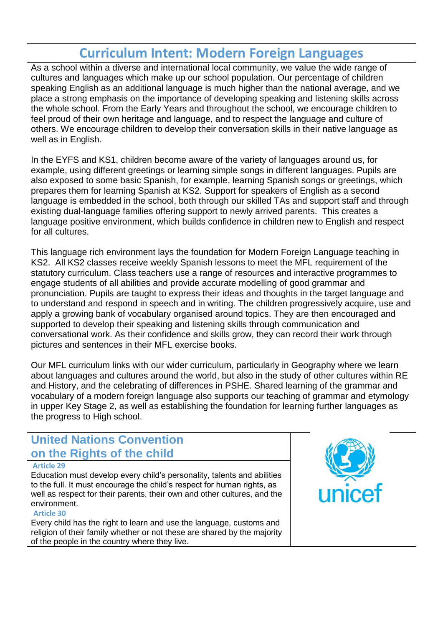## **Curriculum Intent: Modern Foreign Languages**

As a school within a diverse and international local community, we value the wide range of cultures and languages which make up our school population. Our percentage of children speaking English as an additional language is much higher than the national average, and we place a strong emphasis on the importance of developing speaking and listening skills across the whole school. From the Early Years and throughout the school, we encourage children to feel proud of their own heritage and language, and to respect the language and culture of others. We encourage children to develop their conversation skills in their native language as well as in English.

In the EYFS and KS1, children become aware of the variety of languages around us, for example, using different greetings or learning simple songs in different languages. Pupils are also exposed to some basic Spanish, for example, learning Spanish songs or greetings, which prepares them for learning Spanish at KS2. Support for speakers of English as a second language is embedded in the school, both through our skilled TAs and support staff and through existing dual-language families offering support to newly arrived parents. This creates a language positive environment, which builds confidence in children new to English and respect for all cultures.

This language rich environment lays the foundation for Modern Foreign Language teaching in KS2. All KS2 classes receive weekly Spanish lessons to meet the MFL requirement of the statutory curriculum. Class teachers use a range of resources and interactive programmes to engage students of all abilities and provide accurate modelling of good grammar and pronunciation. Pupils are taught to express their ideas and thoughts in the target language and to understand and respond in speech and in writing. The children progressively acquire, use and apply a growing bank of vocabulary organised around topics. They are then encouraged and supported to develop their speaking and listening skills through communication and conversational work. As their confidence and skills grow, they can record their work through pictures and sentences in their MFL exercise books.

Our MFL curriculum links with our wider curriculum, particularly in Geography where we learn about languages and cultures around the world, but also in the study of other cultures within RE and History, and the celebrating of differences in PSHE. Shared learning of the grammar and vocabulary of a modern foreign language also supports our teaching of grammar and etymology in upper Key Stage 2, as well as establishing the foundation for learning further languages as the progress to High school.

### **United Nations Convention on the Rights of the child**

#### **Article 29**

Education must develop every child's personality, talents and abilities to the full. It must encourage the child's respect for human rights, as well as respect for their parents, their own and other cultures, and the environment.

#### **Article 30**

Every child has the right to learn and use the language, customs and religion of their family whether or not these are shared by the majority of the people in the country where they live.

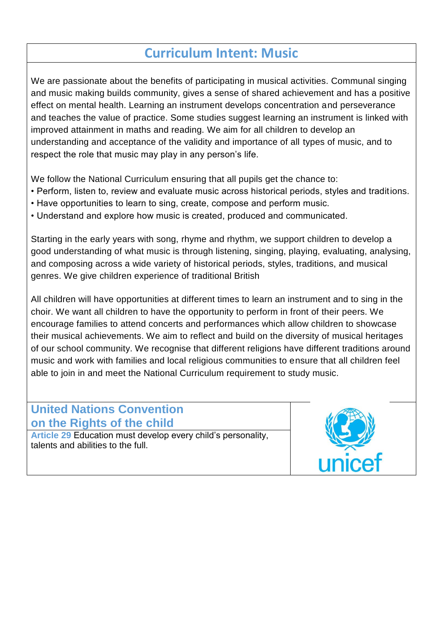# **Curriculum Intent: Music**

We are passionate about the benefits of participating in musical activities. Communal singing and music making builds community, gives a sense of shared achievement and has a positive effect on mental health. Learning an instrument develops concentration and perseverance and teaches the value of practice. Some studies suggest learning an instrument is linked with improved attainment in maths and reading. We aim for all children to develop an understanding and acceptance of the validity and importance of all types of music, and to respect the role that music may play in any person's life.

We follow the National Curriculum ensuring that all pupils get the chance to:

- Perform, listen to, review and evaluate music across historical periods, styles and traditions.
- Have opportunities to learn to sing, create, compose and perform music.
- Understand and explore how music is created, produced and communicated.

Starting in the early years with song, rhyme and rhythm, we support children to develop a good understanding of what music is through listening, singing, playing, evaluating, analysing, and composing across a wide variety of historical periods, styles, traditions, and musical genres. We give children experience of traditional British

All children will have opportunities at different times to learn an instrument and to sing in the choir. We want all children to have the opportunity to perform in front of their peers. We encourage families to attend concerts and performances which allow children to showcase their musical achievements. We aim to reflect and build on the diversity of musical heritages of our school community. We recognise that different religions have different traditions around music and work with families and local religious communities to ensure that all children feel able to join in and meet the National Curriculum requirement to study music.

### **United Nations Convention on the Rights of the child**

**Article 29** Education must develop every child's personality, talents and abilities to the full.

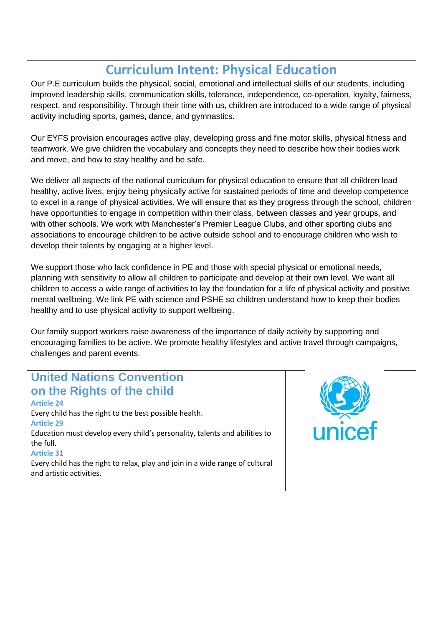## **Curriculum Intent: Physical Education**

Our P.E curriculum builds the physical, social, emotional and intellectual skills of our students, including improved leadership skills, communication skills, tolerance, independence, co-operation, loyalty, fairness, respect, and responsibility. Through their time with us, children are introduced to a wide range of physical activity including sports, games, dance, and gymnastics.

Our EYFS provision encourages active play, developing gross and fine motor skills, physical fitness and teamwork. We give children the vocabulary and concepts they need to describe how their bodies work and move, and how to stay healthy and be safe.

We deliver all aspects of the national curriculum for physical education to ensure that all children lead healthy, active lives, enjoy being physically active for sustained periods of time and develop competence to excel in a range of physical activities. We will ensure that as they progress through the school, children have opportunities to engage in competition within their class, between classes and year groups, and with other schools. We work with Manchester's Premier League Clubs, and other sporting clubs and associations to encourage children to be active outside school and to encourage children who wish to develop their talents by engaging at a higher level.

We support those who lack confidence in PE and those with special physical or emotional needs, planning with sensitivity to allow all children to participate and develop at their own level. We want all children to access a wide range of activities to lay the foundation for a life of physical activity and positive mental wellbeing. We link PE with science and PSHE so children understand how to keep their bodies healthy and to use physical activity to support wellbeing.

Our family support workers raise awareness of the importance of daily activity by supporting and encouraging families to be active. We promote healthy lifestyles and active travel through campaigns, challenges and parent events.

### **United Nations Convention on the Rights of the child**

**Article 24**  Every child has the right to the best possible health. **Article 29** Education must develop every child's personality, talents and abilities to the full. **Article 31**

Every child has the right to relax, play and join in a wide range of cultural and artistic activities.

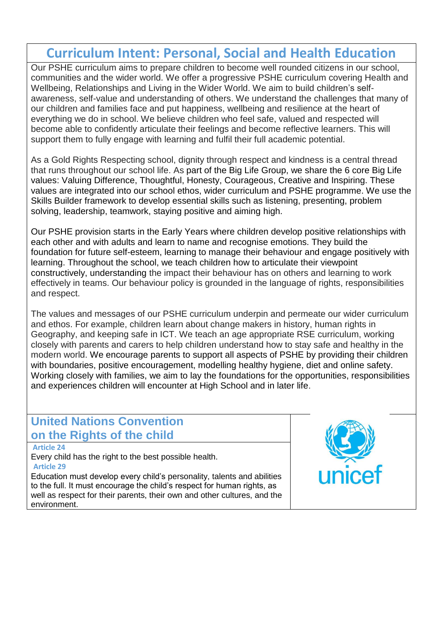# **Curriculum Intent: Personal, Social and Health Education**

Our PSHE curriculum aims to prepare children to become well rounded citizens in our school, communities and the wider world. We offer a progressive PSHE curriculum covering Health and Wellbeing, Relationships and Living in the Wider World. We aim to build children's selfawareness, self-value and understanding of others. We understand the challenges that many of our children and families face and put happiness, wellbeing and resilience at the heart of everything we do in school. We believe children who feel safe, valued and respected will become able to confidently articulate their feelings and become reflective learners. This will support them to fully engage with learning and fulfil their full academic potential.

As a Gold Rights Respecting school, dignity through respect and kindness is a central thread that runs throughout our school life. As part of the Big Life Group, we share the 6 core Big Life values: Valuing Difference, Thoughtful, Honesty, Courageous, Creative and Inspiring. These values are integrated into our school ethos, wider curriculum and PSHE programme. We use the Skills Builder framework to develop essential skills such as listening, presenting, problem solving, leadership, teamwork, staying positive and aiming high.

Our PSHE provision starts in the Early Years where children develop positive relationships with each other and with adults and learn to name and recognise emotions. They build the foundation for future self-esteem, learning to manage their behaviour and engage positively with learning. Throughout the school, we teach children how to articulate their viewpoint constructively, understanding the impact their behaviour has on others and learning to work effectively in teams. Our behaviour policy is grounded in the language of rights, responsibilities and respect.

The values and messages of our PSHE curriculum underpin and permeate our wider curriculum and ethos. For example, children learn about change makers in history, human rights in Geography, and keeping safe in ICT. We teach an age appropriate RSE curriculum, working closely with parents and carers to help children understand how to stay safe and healthy in the modern world. We encourage parents to support all aspects of PSHE by providing their children with boundaries, positive encouragement, modelling healthy hygiene, diet and online safety. Working closely with families, we aim to lay the foundations for the opportunities, responsibilities and experiences children will encounter at High School and in later life.

### **United Nations Convention on the Rights of the child**

#### **Article 24**

Every child has the right to the best possible health. **Article 29**

Education must develop every child's personality, talents and abilities to the full. It must encourage the child's respect for human rights, as well as respect for their parents, their own and other cultures, and the environment.